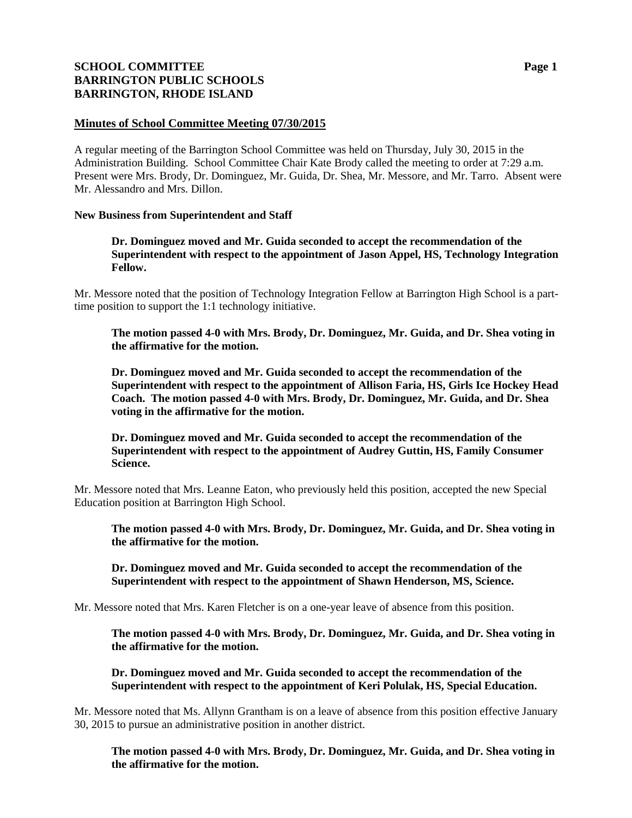# **SCHOOL COMMITTEE Page 1 BARRINGTON PUBLIC SCHOOLS BARRINGTON, RHODE ISLAND**

## **Minutes of School Committee Meeting 07/30/2015**

A regular meeting of the Barrington School Committee was held on Thursday, July 30, 2015 in the Administration Building. School Committee Chair Kate Brody called the meeting to order at 7:29 a.m. Present were Mrs. Brody, Dr. Dominguez, Mr. Guida, Dr. Shea, Mr. Messore, and Mr. Tarro. Absent were Mr. Alessandro and Mrs. Dillon.

## **New Business from Superintendent and Staff**

**Dr. Dominguez moved and Mr. Guida seconded to accept the recommendation of the Superintendent with respect to the appointment of Jason Appel, HS, Technology Integration Fellow.**

Mr. Messore noted that the position of Technology Integration Fellow at Barrington High School is a parttime position to support the 1:1 technology initiative.

**The motion passed 4-0 with Mrs. Brody, Dr. Dominguez, Mr. Guida, and Dr. Shea voting in the affirmative for the motion.**

**Dr. Dominguez moved and Mr. Guida seconded to accept the recommendation of the Superintendent with respect to the appointment of Allison Faria, HS, Girls Ice Hockey Head Coach. The motion passed 4-0 with Mrs. Brody, Dr. Dominguez, Mr. Guida, and Dr. Shea voting in the affirmative for the motion.**

**Dr. Dominguez moved and Mr. Guida seconded to accept the recommendation of the Superintendent with respect to the appointment of Audrey Guttin, HS, Family Consumer Science.** 

Mr. Messore noted that Mrs. Leanne Eaton, who previously held this position, accepted the new Special Education position at Barrington High School.

**The motion passed 4-0 with Mrs. Brody, Dr. Dominguez, Mr. Guida, and Dr. Shea voting in the affirmative for the motion.**

**Dr. Dominguez moved and Mr. Guida seconded to accept the recommendation of the Superintendent with respect to the appointment of Shawn Henderson, MS, Science.** 

Mr. Messore noted that Mrs. Karen Fletcher is on a one-year leave of absence from this position.

**The motion passed 4-0 with Mrs. Brody, Dr. Dominguez, Mr. Guida, and Dr. Shea voting in the affirmative for the motion.**

**Dr. Dominguez moved and Mr. Guida seconded to accept the recommendation of the Superintendent with respect to the appointment of Keri Polulak, HS, Special Education.** 

Mr. Messore noted that Ms. Allynn Grantham is on a leave of absence from this position effective January 30, 2015 to pursue an administrative position in another district.

**The motion passed 4-0 with Mrs. Brody, Dr. Dominguez, Mr. Guida, and Dr. Shea voting in the affirmative for the motion.**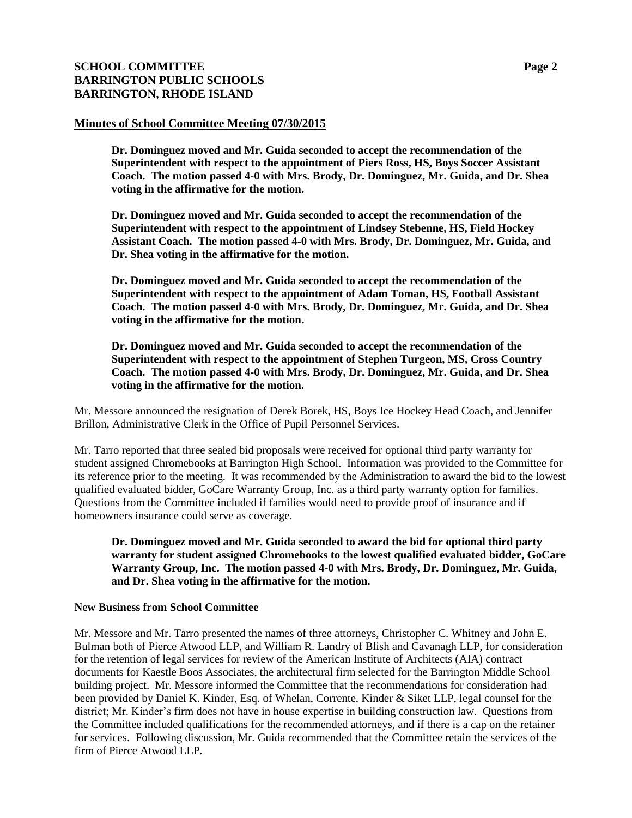# **SCHOOL COMMITTEE Page 2 BARRINGTON PUBLIC SCHOOLS BARRINGTON, RHODE ISLAND**

### **Minutes of School Committee Meeting 07/30/2015**

**Dr. Dominguez moved and Mr. Guida seconded to accept the recommendation of the Superintendent with respect to the appointment of Piers Ross, HS, Boys Soccer Assistant Coach. The motion passed 4-0 with Mrs. Brody, Dr. Dominguez, Mr. Guida, and Dr. Shea voting in the affirmative for the motion.**

**Dr. Dominguez moved and Mr. Guida seconded to accept the recommendation of the Superintendent with respect to the appointment of Lindsey Stebenne, HS, Field Hockey Assistant Coach. The motion passed 4-0 with Mrs. Brody, Dr. Dominguez, Mr. Guida, and Dr. Shea voting in the affirmative for the motion.**

**Dr. Dominguez moved and Mr. Guida seconded to accept the recommendation of the Superintendent with respect to the appointment of Adam Toman, HS, Football Assistant Coach. The motion passed 4-0 with Mrs. Brody, Dr. Dominguez, Mr. Guida, and Dr. Shea voting in the affirmative for the motion.**

**Dr. Dominguez moved and Mr. Guida seconded to accept the recommendation of the Superintendent with respect to the appointment of Stephen Turgeon, MS, Cross Country Coach. The motion passed 4-0 with Mrs. Brody, Dr. Dominguez, Mr. Guida, and Dr. Shea voting in the affirmative for the motion.**

Mr. Messore announced the resignation of Derek Borek, HS, Boys Ice Hockey Head Coach, and Jennifer Brillon, Administrative Clerk in the Office of Pupil Personnel Services.

Mr. Tarro reported that three sealed bid proposals were received for optional third party warranty for student assigned Chromebooks at Barrington High School. Information was provided to the Committee for its reference prior to the meeting. It was recommended by the Administration to award the bid to the lowest qualified evaluated bidder, GoCare Warranty Group, Inc. as a third party warranty option for families. Questions from the Committee included if families would need to provide proof of insurance and if homeowners insurance could serve as coverage.

### **Dr. Dominguez moved and Mr. Guida seconded to award the bid for optional third party warranty for student assigned Chromebooks to the lowest qualified evaluated bidder, GoCare Warranty Group, Inc. The motion passed 4-0 with Mrs. Brody, Dr. Dominguez, Mr. Guida, and Dr. Shea voting in the affirmative for the motion.**

#### **New Business from School Committee**

Mr. Messore and Mr. Tarro presented the names of three attorneys, Christopher C. Whitney and John E. Bulman both of Pierce Atwood LLP, and William R. Landry of Blish and Cavanagh LLP, for consideration for the retention of legal services for review of the American Institute of Architects (AIA) contract documents for Kaestle Boos Associates, the architectural firm selected for the Barrington Middle School building project. Mr. Messore informed the Committee that the recommendations for consideration had been provided by Daniel K. Kinder, Esq. of Whelan, Corrente, Kinder & Siket LLP, legal counsel for the district; Mr. Kinder's firm does not have in house expertise in building construction law. Questions from the Committee included qualifications for the recommended attorneys, and if there is a cap on the retainer for services. Following discussion, Mr. Guida recommended that the Committee retain the services of the firm of Pierce Atwood LLP.